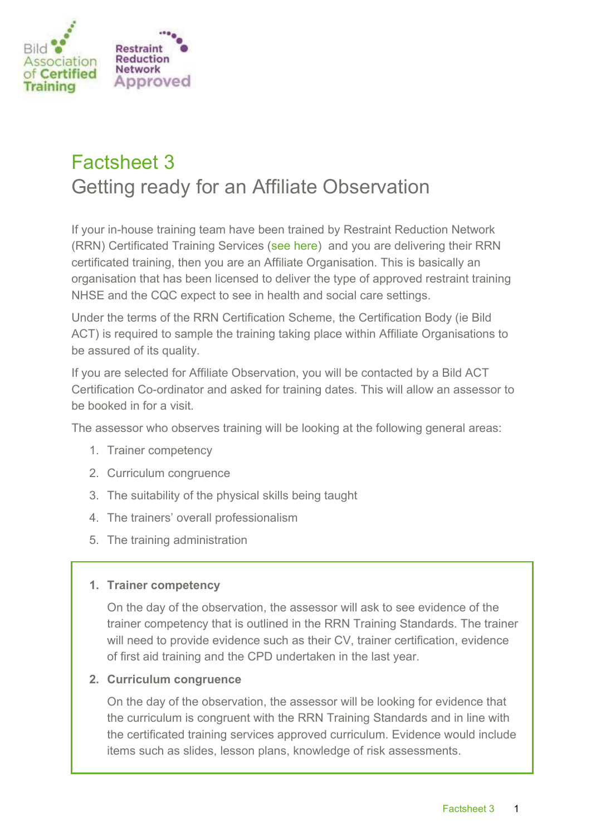

# Factsheet 3 Getting ready for an Affiliate Observation

If your in-house training team have been trained by Restraint Reduction Network (RRN) Certificated Training Services [\(see here\)](https://bildact.org.uk/certified-organisations/) and you are delivering their RRN certificated training, then you are an Affiliate Organisation. This is basically an organisation that has been licensed to deliver the type of approved restraint training NHSE and the CQC expect to see in health and social care settings.

Under the terms of the RRN Certification Scheme, the Certification Body (ie Bild ACT) is required to sample the training taking place within Affiliate Organisations to be assured of its quality.

If you are selected for Affiliate Observation, you will be contacted by a Bild ACT Certification Co-ordinator and asked for training dates. This will allow an assessor to be booked in for a visit.

The assessor who observes training will be looking at the following general areas:

- 1. Trainer competency
- 2. Curriculum congruence
- 3. The suitability of the physical skills being taught
- 4. The trainers' overall professionalism
- 5. The training administration

# **1. Trainer competency**

On the day of the observation, the assessor will ask to see evidence of the trainer competency that is outlined in the RRN Training Standards. The trainer will need to provide evidence such as their CV, trainer certification, evidence of first aid training and the CPD undertaken in the last year.

#### **2. Curriculum congruence**

On the day of the observation, the assessor will be looking for evidence that the curriculum is congruent with the RRN Training Standards and in line with the certificated training services approved curriculum. Evidence would include items such as slides, lesson plans, knowledge of risk assessments.